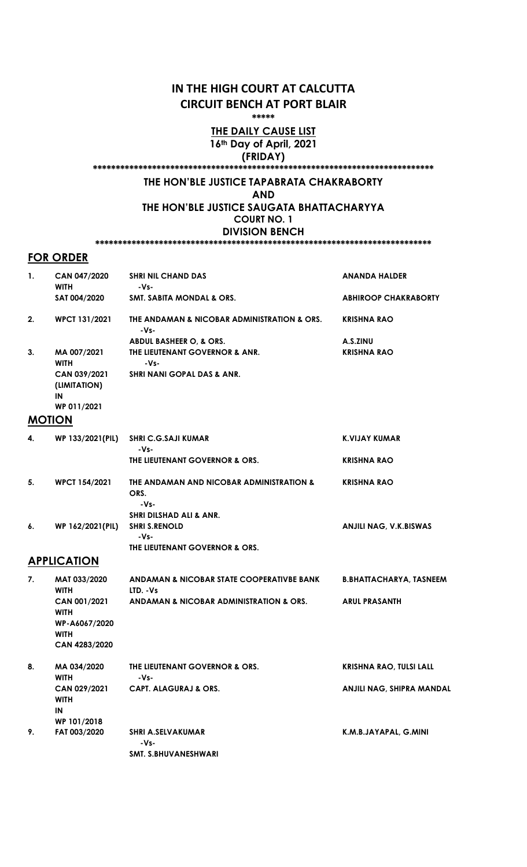## IN THE HIGH COURT AT CALCUTTA CIRCUIT BENCH AT PORT BLAIR

\*\*\*\*\*

#### **THE DAILY CAUSE LIST** 16th Day of April, 2021 (FRIDAY)

\*\*\*\*\*\*\*\*\*\*\*\*\*\*\*\*\*\*\*\*\*\*\*\*\*\*\*\*\*\*\*\*\*\*\*\*\*\*\*\*\*\*\*\*\*\*\*\*\*\*\*\*\*\*\*\*\*\*\*\*\*\*\*\*\*\*\*\*\*\*\*\*\*\*\*

### THE HON'BLE JUSTICE TAPABRATA CHAKRABORTY

AND

#### THE HON'BLE JUSTICE SAUGATA BHATTACHARYYA COURT NO. 1 DIVISION BENCH

### \*\*\*\*\*\*\*\*\*\*\*\*\*\*\*\*\*\*\*\*\*\*\*\*\*\*\*\*\*\*\*\*\*\*\*\*\*\*\*\*\*\*\*\*\*\*\*\*\*\*\*\*\*\*\*\*\*\*\*\*\*\*\*\*\*\*\*\*\*\*\*\*\*\*

### FOR ORDER

| $\mathbf{1}$ . | CAN 047/2020<br><b>WITH</b>        | <b>SHRI NIL CHAND DAS</b><br>-Vs-                          | <b>ANANDA HALDER</b>           |
|----------------|------------------------------------|------------------------------------------------------------|--------------------------------|
|                | SAT 004/2020                       | <b>SMT. SABITA MONDAL &amp; ORS.</b>                       | <b>ABHIROOP CHAKRABORTY</b>    |
| 2.             | WPCT 131/2021                      | THE ANDAMAN & NICOBAR ADMINISTRATION & ORS.<br>-Vs-        | <b>KRISHNA RAO</b>             |
|                |                                    | <b>ABDUL BASHEER O, &amp; ORS.</b>                         | A.S.ZINU                       |
| 3.             | MA 007/2021<br><b>WITH</b>         | THE LIEUTENANT GOVERNOR & ANR.<br>-Vs-                     | <b>KRISHNA RAO</b>             |
|                | CAN 039/2021<br>(LIMITATION)<br>IN | <b>SHRI NANI GOPAL DAS &amp; ANR.</b>                      |                                |
|                | WP 011/2021                        |                                                            |                                |
|                | <b>MOTION</b>                      |                                                            |                                |
| 4.             | WP 133/2021(PIL)                   | <b>SHRI C.G.SAJI KUMAR</b><br>-Vs-                         | <b>K.VIJAY KUMAR</b>           |
|                |                                    | THE LIEUTENANT GOVERNOR & ORS.                             | <b>KRISHNA RAO</b>             |
| 5.             | <b>WPCT 154/2021</b>               | THE ANDAMAN AND NICOBAR ADMINISTRATION &<br>ORS.<br>$-Vs-$ | <b>KRISHNA RAO</b>             |
|                |                                    | SHRI DILSHAD ALI & ANR.                                    |                                |
| 6.             | WP 162/2021(PIL)                   | <b>SHRI S.RENOLD</b><br>-Vs-                               | ANJILI NAG, V.K.BISWAS         |
|                |                                    | THE LIEUTENANT GOVERNOR & ORS.                             |                                |
|                | <b>APPLICATION</b>                 |                                                            |                                |
| 7.             | MAT 033/2020<br><b>WITH</b>        | ANDAMAN & NICOBAR STATE COOPERATIVBE BANK<br>LTD. - Vs     | <b>B.BHATTACHARYA, TASNEEM</b> |
|                | CAN 001/2021<br><b>WITH</b>        | ANDAMAN & NICOBAR ADMINISTRATION & ORS.                    | <b>ARUL PRASANTH</b>           |
|                | WP-A6067/2020<br><b>WITH</b>       |                                                            |                                |
|                | CAN 4283/2020                      |                                                            |                                |
| 8.             | MA 034/2020<br><b>WITH</b>         | THE LIEUTENANT GOVERNOR & ORS.<br>-Vs-                     | <b>KRISHNA RAO, TULSI LALL</b> |
|                | CAN 029/2021<br><b>WITH</b><br>IN  | <b>CAPT. ALAGURAJ &amp; ORS.</b>                           | ANJILI NAG, SHIPRA MANDAL      |
|                | WP 101/2018                        |                                                            |                                |
| 9.             | FAT 003/2020                       | <b>SHRI A.SELVAKUMAR</b><br>-Vs-                           | K.M.B.JAYAPAL, G.MINI          |
|                |                                    | SMT. S.BHUVANESHWARI                                       |                                |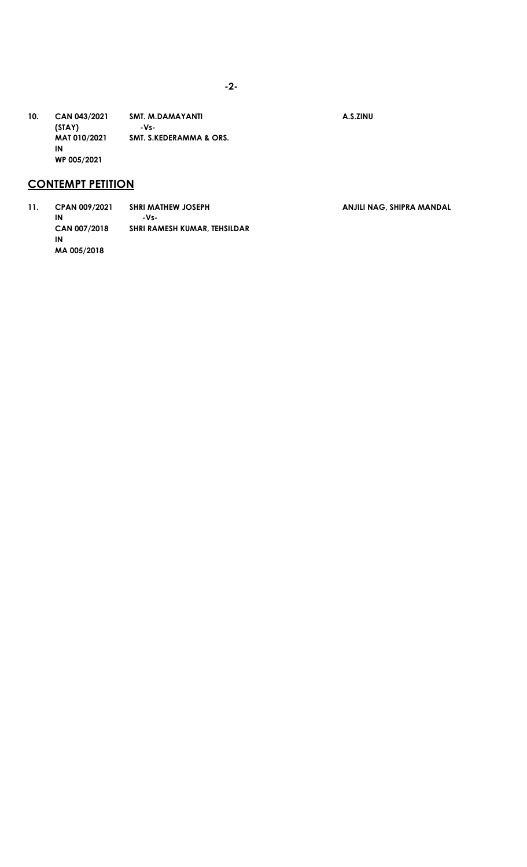10. CAN 043/2021 SMT. M.DAMAYANTI (STAY) MAT 010/2021 IN WP 005/2021 -Vs-SMT. S.KEDERAMMA & ORS.

# **CONTEMPT PETITION**

11. CPAN 009/2021 IN CAN 007/2018 IN MA 005/2018 SHRI MATHEW JOSEPH -Vs-SHRI RAMESH KUMAR, TEHSILDAR A.S.ZINU

ANJILI NAG, SHIPRA MANDAL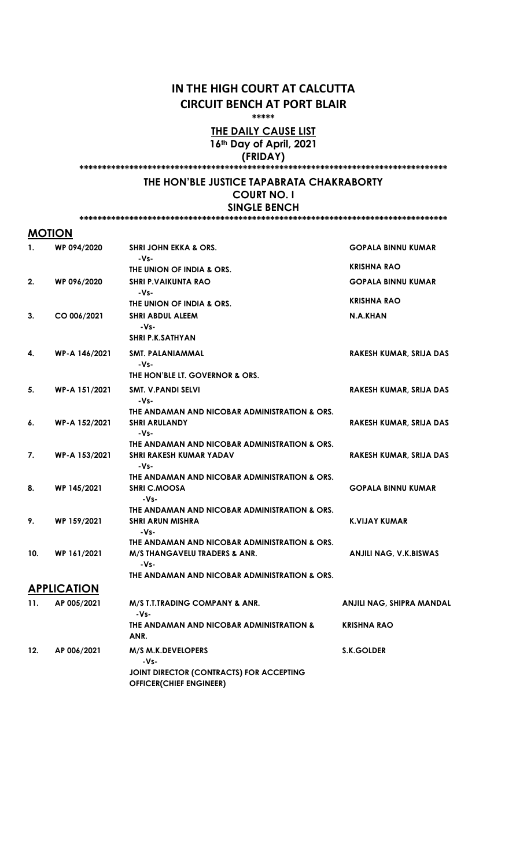## IN THE HIGH COURT AT CALCUTTA CIRCUIT BENCH AT PORT BLAIR

\*\*\*\*\*

#### **THE DAILY CAUSE LIST** 16th Day of April, 2021 (FRIDAY)

#### \*\*\*\*\*\*\*\*\*\*\*\*\*\*\*\*\*\*\*\*\*\*\*\*\*\*\*\*\*\*\*\*\*\*\*\*\*\*\*\*\*\*\*\*\*\*\*\*\*\*\*\*\*\*\*\*\*\*\*\*\*\*\*\*\*\*\*\*\*\*\*\*\*\*\*\*\*\*\*\*\*

#### THE HON'BLE JUSTICE TAPABRATA CHAKRABORTY COURT NO. I SINGLE BENCH

\*\*\*\*\*\*\*\*\*\*\*\*\*\*\*\*\*\*\*\*\*\*\*\*\*\*\*\*\*\*\*\*\*\*\*\*\*\*\*\*\*\*\*\*\*\*\*\*\*\*\*\*\*\*\*\*\*\*\*\*\*\*\*\*\*\*\*\*\*\*\*\*\*\*\*\*\*\*\*\*\*

### **MOTION**

| 1.  | WP 094/2020        | <b>SHRI JOHN EKKA &amp; ORS.</b><br>-Vs-                                               | <b>GOPALA BINNU KUMAR</b>     |
|-----|--------------------|----------------------------------------------------------------------------------------|-------------------------------|
|     |                    | THE UNION OF INDIA & ORS.                                                              | <b>KRISHNA RAO</b>            |
| 2.  | WP 096/2020        | <b>SHRI P.VAIKUNTA RAO</b><br>-Vs-                                                     | <b>GOPALA BINNU KUMAR</b>     |
|     |                    | THE UNION OF INDIA & ORS.                                                              | <b>KRISHNA RAO</b>            |
| 3.  | CO 006/2021        | <b>SHRI ABDUL ALEEM</b><br>-Vs-                                                        | N.A.KHAN                      |
|     |                    | <b>SHRI P.K.SATHYAN</b>                                                                |                               |
| 4.  | WP-A 146/2021      | SMT. PALANIAMMAL<br>$-Vs-$                                                             | RAKESH KUMAR, SRIJA DAS       |
|     |                    | THE HON'BLE LT. GOVERNOR & ORS.                                                        |                               |
| 5.  | WP-A 151/2021      | SMT. V.PANDI SELVI<br>-Vs-                                                             | RAKESH KUMAR, SRIJA DAS       |
|     |                    | THE ANDAMAN AND NICOBAR ADMINISTRATION & ORS.                                          |                               |
| 6.  | WP-A 152/2021      | <b>SHRI ARULANDY</b><br>-Vs-                                                           | RAKESH KUMAR, SRIJA DAS       |
|     |                    | THE ANDAMAN AND NICOBAR ADMINISTRATION & ORS.                                          |                               |
| 7.  | WP-A 153/2021      | <b>SHRI RAKESH KUMAR YADAV</b><br>-Vs-                                                 | RAKESH KUMAR, SRIJA DAS       |
|     |                    | THE ANDAMAN AND NICOBAR ADMINISTRATION & ORS.                                          |                               |
| 8.  | WP 145/2021        | <b>SHRI C.MOOSA</b><br>$-Vs-$                                                          | <b>GOPALA BINNU KUMAR</b>     |
|     |                    | THE ANDAMAN AND NICOBAR ADMINISTRATION & ORS.                                          |                               |
| 9.  | WP 159/2021        | <b>SHRI ARUN MISHRA</b><br>$-Vs-$                                                      | <b>K.VIJAY KUMAR</b>          |
| 10. | WP 161/2021        | THE ANDAMAN AND NICOBAR ADMINISTRATION & ORS.<br>M/S THANGAVELU TRADERS & ANR.<br>-Vs- | <b>ANJILI NAG, V.K.BISWAS</b> |
|     |                    | THE ANDAMAN AND NICOBAR ADMINISTRATION & ORS.                                          |                               |
|     | <b>APPLICATION</b> |                                                                                        |                               |
| 11. | AP 005/2021        |                                                                                        |                               |
|     |                    | M/S T.T.TRADING COMPANY & ANR.<br>-Vs-                                                 | ANJILI NAG, SHIPRA MANDAL     |
|     |                    | THE ANDAMAN AND NICOBAR ADMINISTRATION &<br>ANR.                                       | <b>KRISHNA RAO</b>            |
| 12. | AP 006/2021        | M/S M.K.DEVELOPERS<br>$-Vs-$                                                           | <b>S.K.GOLDER</b>             |
|     |                    | JOINT DIRECTOR (CONTRACTS) FOR ACCEPTING<br><b>OFFICER(CHIEF ENGINEER)</b>             |                               |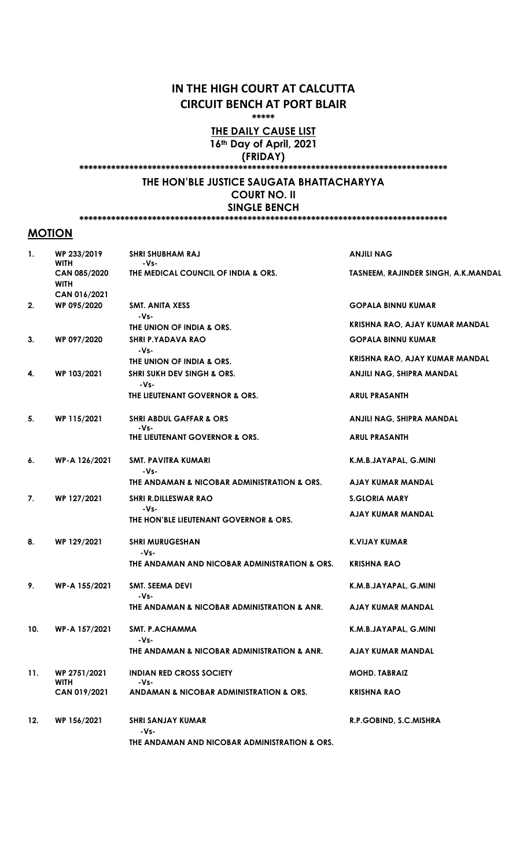## IN THE HIGH COURT AT CALCUTTA CIRCUIT BENCH AT PORT BLAIR

\*\*\*\*\*

**THE DAILY CAUSE LIST** 16th Day of April, 2021 (FRIDAY)

#### \*\*\*\*\*\*\*\*\*\*\*\*\*\*\*\*\*\*\*\*\*\*\*\*\*\*\*\*\*\*\*\*\*\*\*\*\*\*\*\*\*\*\*\*\*\*\*\*\*\*\*\*\*\*\*\*\*\*\*\*\*\*\*\*\*\*\*\*\*\*\*\*\*\*\*\*\*\*\*\*\*

### THE HON'BLE JUSTICE SAUGATA BHATTACHARYYA COURT NO. II

SINGLE BENCH \*\*\*\*\*\*\*\*\*\*\*\*\*\*\*\*\*\*\*\*\*\*\*\*\*\*\*\*\*\*\*\*\*\*\*\*\*\*\*\*\*\*\*\*\*\*\*\*\*\*\*\*\*\*\*\*\*\*\*\*\*\*\*\*\*\*\*\*\*\*\*\*\*\*\*\*\*\*\*\*\*

**MOTION** 

| 1.  | WP 233/2019<br><b>WITH</b>         | <b>SHRI SHUBHAM RAJ</b><br>-Vs-               | <b>ANJILI NAG</b>                   |
|-----|------------------------------------|-----------------------------------------------|-------------------------------------|
|     | <b>CAN 085/2020</b><br><b>WITH</b> | THE MEDICAL COUNCIL OF INDIA & ORS.           | TASNEEM, RAJINDER SINGH, A.K.MANDAL |
|     | CAN 016/2021                       |                                               |                                     |
| 2.  | WP 095/2020                        | SMT. ANITA XESS<br>-Vs-                       | <b>GOPALA BINNU KUMAR</b>           |
|     |                                    | THE UNION OF INDIA & ORS.                     | KRISHNA RAO, AJAY KUMAR MANDAL      |
| 3.  | WP 097/2020                        | <b>SHRI P.YADAVA RAO</b><br>-Vs-              | <b>GOPALA BINNU KUMAR</b>           |
|     |                                    | THE UNION OF INDIA & ORS.                     | KRISHNA RAO, AJAY KUMAR MANDAL      |
|     | WP 103/2021                        |                                               |                                     |
| 4.  |                                    | <b>SHRI SUKH DEV SINGH &amp; ORS.</b><br>-Vs- | ANJILI NAG, SHIPRA MANDAL           |
|     |                                    | THE LIEUTENANT GOVERNOR & ORS.                | <b>ARUL PRASANTH</b>                |
| 5.  | WP 115/2021                        | <b>SHRI ABDUL GAFFAR &amp; ORS</b><br>-Vs-    | ANJILI NAG, SHIPRA MANDAL           |
|     |                                    | THE LIEUTENANT GOVERNOR & ORS.                | <b>ARUL PRASANTH</b>                |
| 6.  | WP-A 126/2021                      | SMT. PAVITRA KUMARI<br>-Vs-                   | K.M.B.JAYAPAL, G.MINI               |
|     |                                    | THE ANDAMAN & NICOBAR ADMINISTRATION & ORS.   | AJAY KUMAR MANDAL                   |
| 7.  | WP 127/2021                        | <b>SHRI R.DILLESWAR RAO</b><br>-Vs-           | <b>S.GLORIA MARY</b>                |
|     |                                    | THE HON'BLE LIEUTENANT GOVERNOR & ORS.        | AJAY KUMAR MANDAL                   |
| 8.  | WP 129/2021                        | <b>SHRI MURUGESHAN</b><br>-Vs-                | <b>K.VIJAY KUMAR</b>                |
|     |                                    | THE ANDAMAN AND NICOBAR ADMINISTRATION & ORS. | <b>KRISHNA RAO</b>                  |
| 9.  | WP-A 155/2021                      | SMT. SEEMA DEVI<br>-Vs-                       | K.M.B.JAYAPAL, G.MINI               |
|     |                                    | THE ANDAMAN & NICOBAR ADMINISTRATION & ANR.   | AJAY KUMAR MANDAL                   |
| 10. | WP-A 157/2021                      | <b>SMT. P.ACHAMMA</b><br>-Vs-                 | K.M.B.JAYAPAL, G.MINI               |
|     |                                    | THE ANDAMAN & NICOBAR ADMINISTRATION & ANR.   | AJAY KUMAR MANDAL                   |
| 11. | WP 2751/2021<br><b>WITH</b>        | <b>INDIAN RED CROSS SOCIETY</b><br>-Vs-       | <b>MOHD. TABRAIZ</b>                |
|     | CAN 019/2021                       | ANDAMAN & NICOBAR ADMINISTRATION & ORS.       | <b>KRISHNA RAO</b>                  |
| 12. | WP 156/2021                        | <b>SHRI SANJAY KUMAR</b><br>-Vs-              | R.P.GOBIND, S.C.MISHRA              |
|     |                                    | THE ANDAMAN AND NICOBAR ADMINISTRATION & ORS. |                                     |